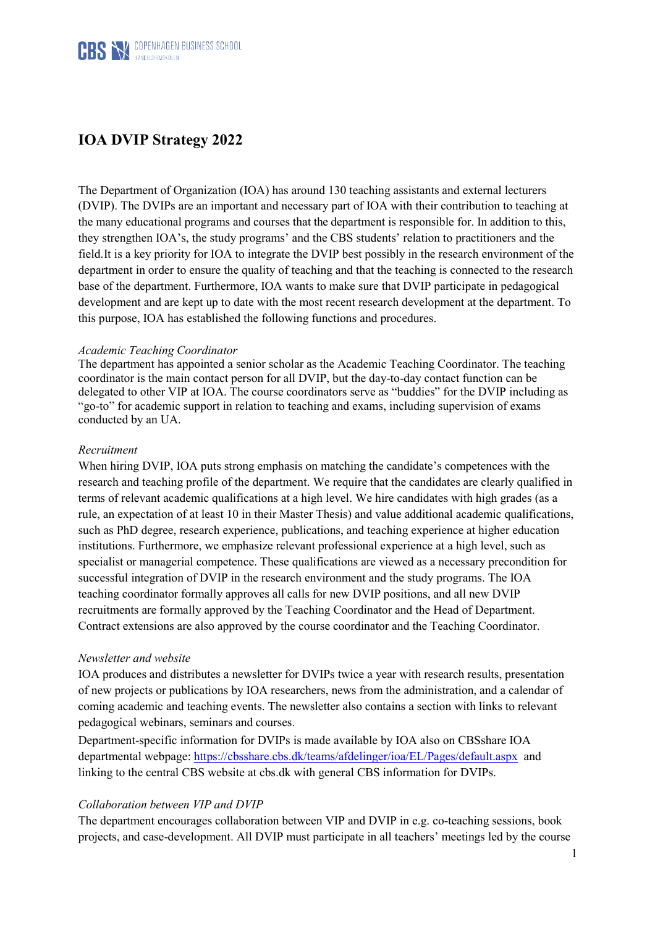

# **IOA DVIP Strategy 2022**

The Department of Organization (IOA) has around 130 teaching assistants and external lecturers (DVIP). The DVIPs are an important and necessary part of IOA with their contribution to teaching at the many educational programs and courses that the department is responsible for. In addition to this, they strengthen IOA's, the study programs' and the CBS students' relation to practitioners and the field.It is a key priority for IOA to integrate the DVIP best possibly in the research environment of the department in order to ensure the quality of teaching and that the teaching is connected to the research base of the department. Furthermore, IOA wants to make sure that DVIP participate in pedagogical development and are kept up to date with the most recent research development at the department. To this purpose, IOA has established the following functions and procedures.

# *Academic Teaching Coordinator*

The department has appointed a senior scholar as the Academic Teaching Coordinator. The teaching coordinator is the main contact person for all DVIP, but the day-to-day contact function can be delegated to other VIP at IOA. The course coordinators serve as "buddies" for the DVIP including as "go-to" for academic support in relation to teaching and exams, including supervision of exams conducted by an UA.

# *Recruitment*

When hiring DVIP, IOA puts strong emphasis on matching the candidate's competences with the research and teaching profile of the department. We require that the candidates are clearly qualified in terms of relevant academic qualifications at a high level. We hire candidates with high grades (as a rule, an expectation of at least 10 in their Master Thesis) and value additional academic qualifications, such as PhD degree, research experience, publications, and teaching experience at higher education institutions. Furthermore, we emphasize relevant professional experience at a high level, such as specialist or managerial competence. These qualifications are viewed as a necessary precondition for successful integration of DVIP in the research environment and the study programs. The IOA teaching coordinator formally approves all calls for new DVIP positions, and all new DVIP recruitments are formally approved by the Teaching Coordinator and the Head of Department. Contract extensions are also approved by the course coordinator and the Teaching Coordinator.

# *Newsletter and website*

IOA produces and distributes a newsletter for DVIPs twice a year with research results, presentation of new projects or publications by IOA researchers, news from the administration, and a calendar of coming academic and teaching events. The newsletter also contains a section with links to relevant pedagogical webinars, seminars and courses.

Department-specific information for DVIPs is made available by IOA also on CBSshare IOA departmental webpage:<https://cbsshare.cbs.dk/teams/afdelinger/ioa/EL/Pages/default.aspx> and linking to the central CBS website at cbs.dk with general CBS information for DVIPs.

# *Collaboration between VIP and DVIP*

The department encourages collaboration between VIP and DVIP in e.g. co-teaching sessions, book projects, and case-development. All DVIP must participate in all teachers' meetings led by the course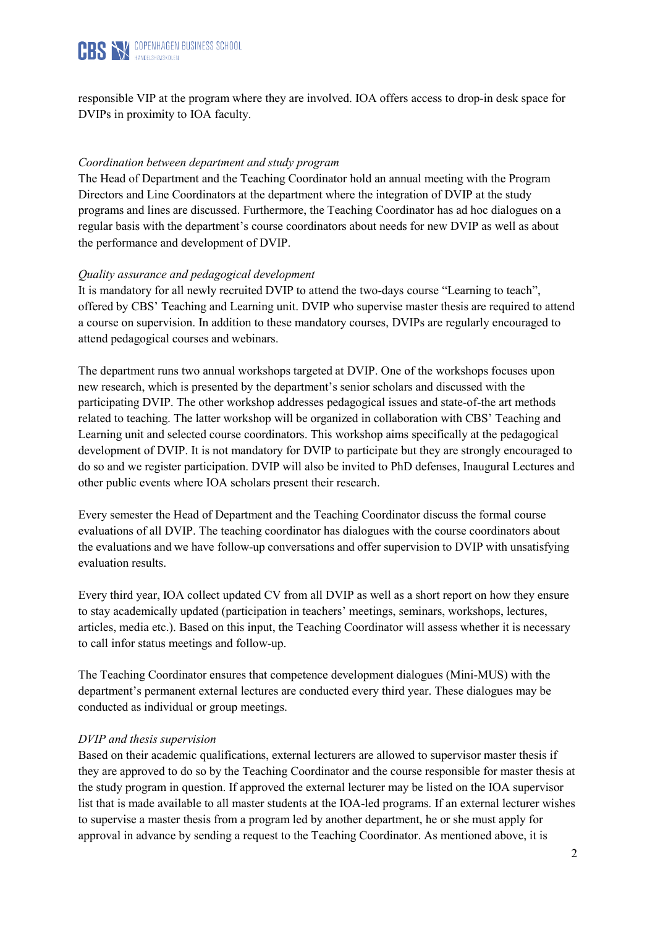

responsible VIP at the program where they are involved. IOA offers access to drop-in desk space for DVIPs in proximity to IOA faculty.

# *Coordination between department and study program*

The Head of Department and the Teaching Coordinator hold an annual meeting with the Program Directors and Line Coordinators at the department where the integration of DVIP at the study programs and lines are discussed. Furthermore, the Teaching Coordinator has ad hoc dialogues on a regular basis with the department's course coordinators about needs for new DVIP as well as about the performance and development of DVIP.

# *Quality assurance and pedagogical development*

It is mandatory for all newly recruited DVIP to attend the two-days course "Learning to teach", offered by CBS' Teaching and Learning unit. DVIP who supervise master thesis are required to attend a course on supervision. In addition to these mandatory courses, DVIPs are regularly encouraged to attend pedagogical courses and webinars.

The department runs two annual workshops targeted at DVIP. One of the workshops focuses upon new research, which is presented by the department's senior scholars and discussed with the participating DVIP. The other workshop addresses pedagogical issues and state-of-the art methods related to teaching. The latter workshop will be organized in collaboration with CBS' Teaching and Learning unit and selected course coordinators. This workshop aims specifically at the pedagogical development of DVIP. It is not mandatory for DVIP to participate but they are strongly encouraged to do so and we register participation. DVIP will also be invited to PhD defenses, Inaugural Lectures and other public events where IOA scholars present their research.

Every semester the Head of Department and the Teaching Coordinator discuss the formal course evaluations of all DVIP. The teaching coordinator has dialogues with the course coordinators about the evaluations and we have follow-up conversations and offer supervision to DVIP with unsatisfying evaluation results.

Every third year, IOA collect updated CV from all DVIP as well as a short report on how they ensure to stay academically updated (participation in teachers' meetings, seminars, workshops, lectures, articles, media etc.). Based on this input, the Teaching Coordinator will assess whether it is necessary to call infor status meetings and follow-up.

The Teaching Coordinator ensures that competence development dialogues (Mini-MUS) with the department's permanent external lectures are conducted every third year. These dialogues may be conducted as individual or group meetings.

# *DVIP and thesis supervision*

Based on their academic qualifications, external lecturers are allowed to supervisor master thesis if they are approved to do so by the Teaching Coordinator and the course responsible for master thesis at the study program in question. If approved the external lecturer may be listed on the IOA supervisor list that is made available to all master students at the IOA-led programs. If an external lecturer wishes to supervise a master thesis from a program led by another department, he or she must apply for approval in advance by sending a request to the Teaching Coordinator. As mentioned above, it is